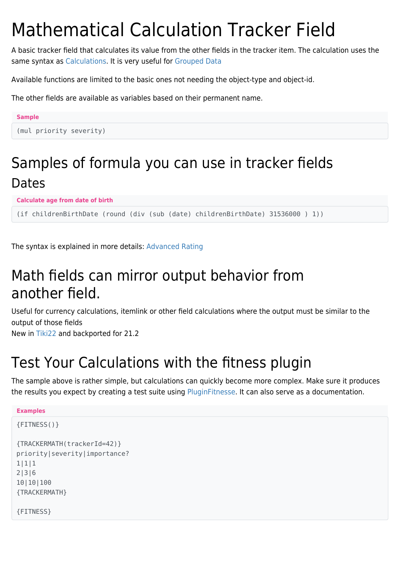# Mathematical Calculation Tracker Field

A basic tracker field that calculates its value from the other fields in the tracker item. The calculation uses the same syntax as [Calculations](https://doc.tiki.org/Calculations). It is very useful for [Grouped Data](https://doc.tiki.org/Grouped-Data)

Available functions are limited to the basic ones not needing the object-type and object-id.

The other fields are available as variables based on their permanent name.

#### **Sample** (mul priority severity)

### Samples of formula you can use in tracker fields Dates

**Calculate age from date of birth**

(if childrenBirthDate (round (div (sub (date) childrenBirthDate) 31536000 ) 1))

The syntax is explained in more details: [Advanced Rating](https://doc.tiki.org/Advanced%20Rating)

## Math fields can mirror output behavior from another field.

Useful for currency calculations, itemlink or other field calculations where the output must be similar to the output of those fields

New in [Tiki22](https://doc.tiki.org/Tiki22) and backported for 21.2

## Test Your Calculations with the fitness plugin

The sample above is rather simple, but calculations can quickly become more complex. Make sure it produces the results you expect by creating a test suite using [PluginFitnesse](https://doc.tiki.org/PluginFitnesse). It can also serve as a documentation.

```
Examples
{FITNESS()}
{TRACKERMATH(trackerId=42)}
priority|severity|importance?
1|1|1
2|3|6
10|10|100
{TRACKERMATH}
{FITNESS}
```